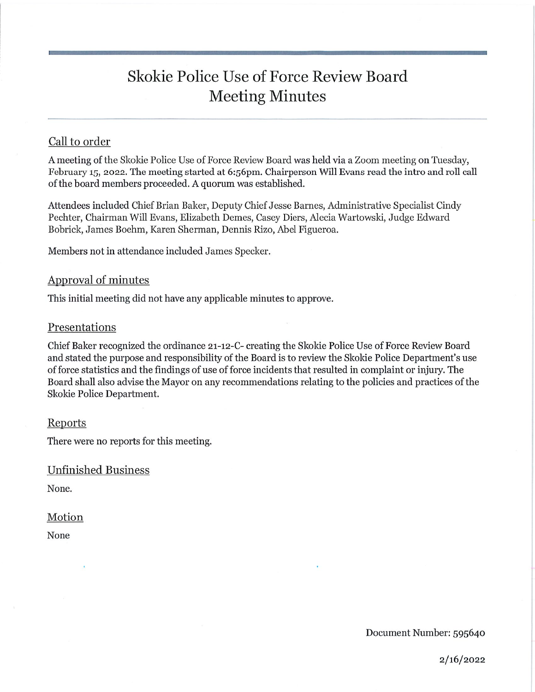# Skokie Police Use of Force Review Board Meeting Minutes

# Call to order

A meeting of the Skokie Police Use of Force Review Board was held via a Zoom meeting on Tuesday, February 15, 2022. The meeting started at 6:56pm. Chairperson Will Evans read the intro and roll call of the board members proceeded. A quorum was established.

Attendees included Chief Brian Baker, Deputy Chief Jesse Barnes, Administrative Specialist Cindy Pechter, Chairman Will Evans, Elizabeth Demes, Casey Diers, Alecia Wartowski, Judge Edward Bobrick, James Boehm, Karen Sherman, Dennis Rizo, Abel Figueroa.

Members not in attendance included James Specker.

## Approval of minutes

This initial meeting did not have any applicable minutes to approve.

#### Presentations

Chief Baker recognized the ordinance 21-12-C- creating the Skokie Police Use of Force Review Board and stated the purpose and responsibility of the Board is to review the Skokie Police Department's use of force statistics and the findings of use of force incidents that resulted in complaint or injury. The Board shall also advise the Mayor on any recommendations relating to the policies and practices of the Skolde Police Department.

#### Reports

There were no reports for this meeting.

Unfinished Business

None.

#### Motion

None

Document Number: 595640